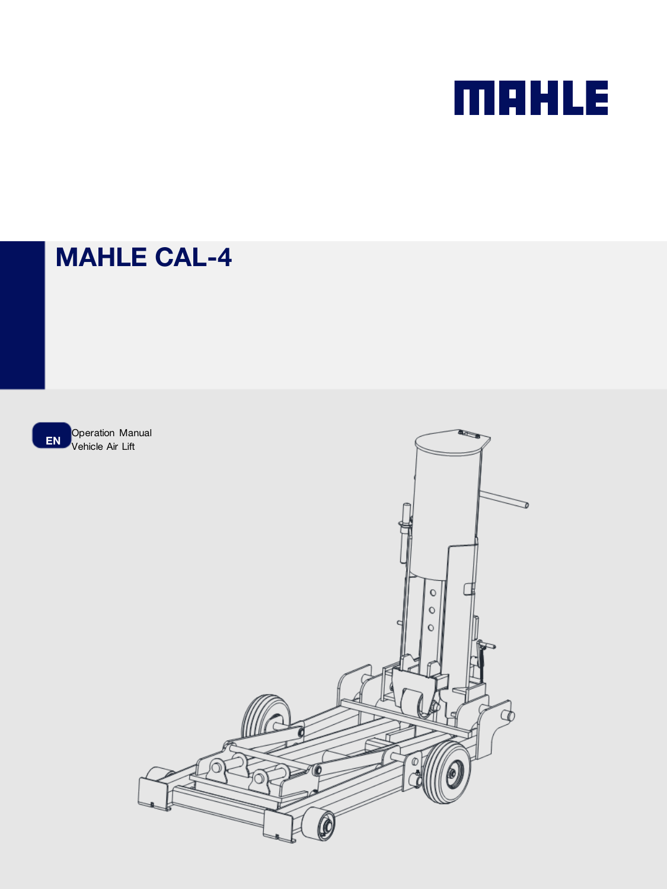# **MAHLE**

## MAHLE CAL-4

**EN** Operation Manual Vehicle Air Lift

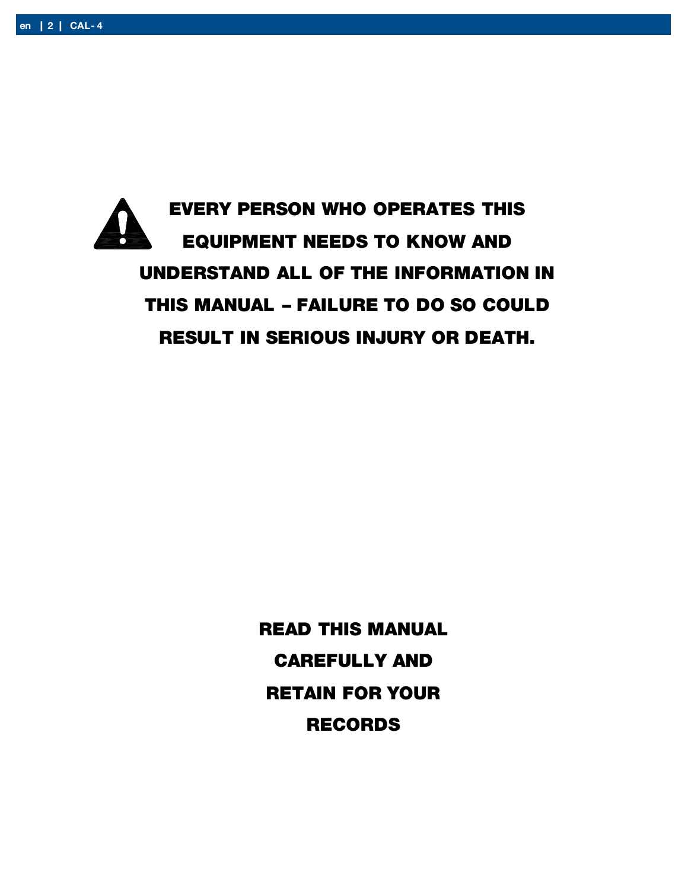EVERY PERSON WHO OPERATES THIS EQUIPMENT NEEDS TO KNOW AND UNDERSTAND ALL OF THE INFORMATION IN THIS MANUAL – FAILURE TO DO SO COULD RESULT IN SERIOUS INJURY OR DEATH.

> READ THIS MANUAL CAREFULLY AND RETAIN FOR YOUR RECORDS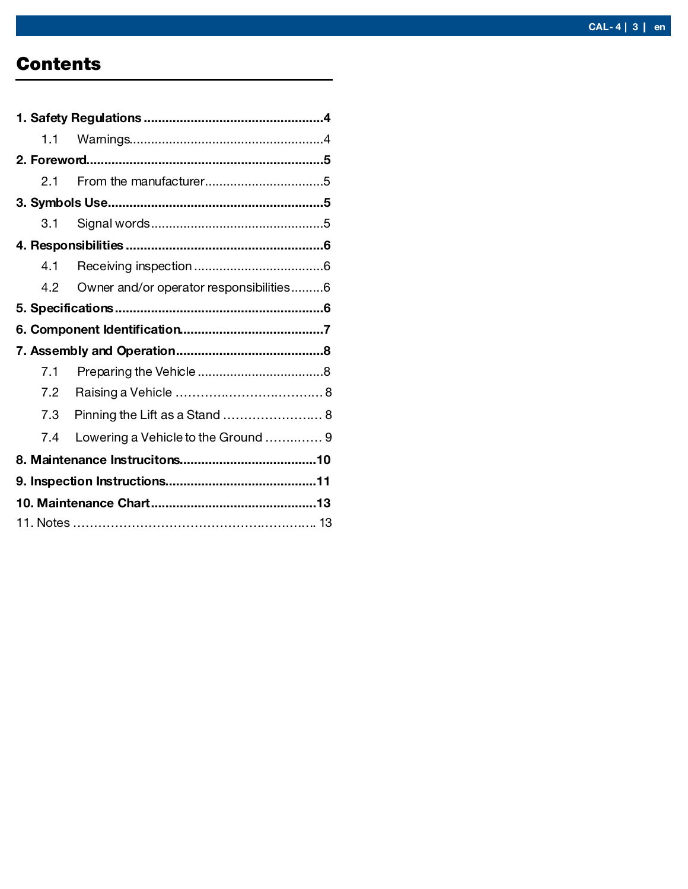## **Contents**

| 1.1 |                                         |  |
|-----|-----------------------------------------|--|
|     |                                         |  |
| 2.1 |                                         |  |
|     |                                         |  |
| 3.1 |                                         |  |
|     |                                         |  |
| 4.1 |                                         |  |
| 4.2 | Owner and/or operator responsibilities6 |  |
|     |                                         |  |
|     |                                         |  |
|     |                                         |  |
|     |                                         |  |
| 7.1 |                                         |  |
| 7.2 |                                         |  |
| 7.3 | Pinning the Lift as a Stand  8          |  |
| 7.4 | Lowering a Vehicle to the Ground  9     |  |
|     |                                         |  |
|     |                                         |  |
|     |                                         |  |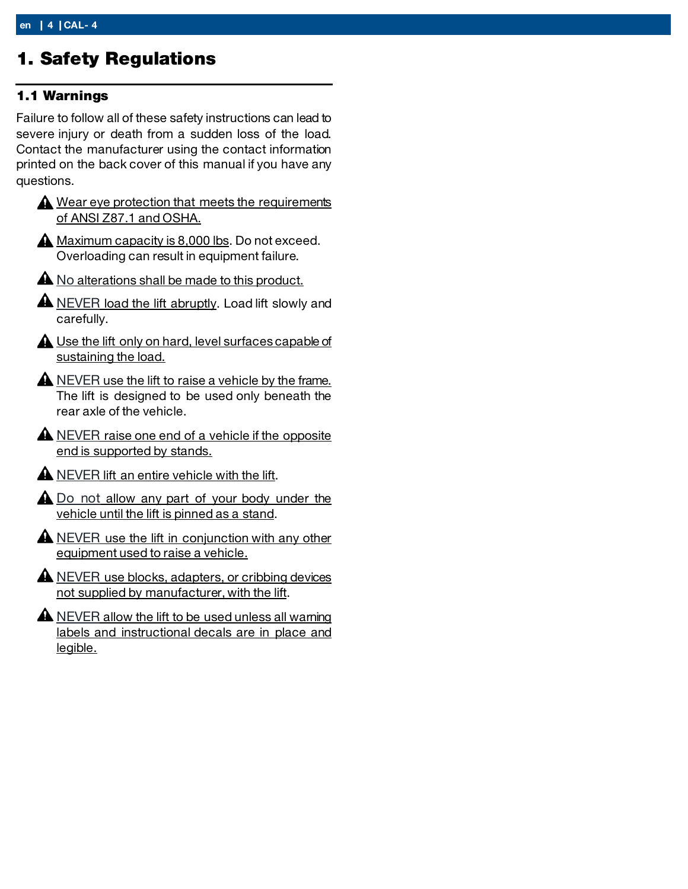## <span id="page-3-0"></span>1. Safety Regulations

#### <span id="page-3-1"></span>1.1 Warnings

Failure to follow all of these safety instructions can lead to severe injury or death from a sudden loss of the load. Contact the manufacturer using the contact information printed on the back cover of this manual if you have any questions.

- Wear eye protection that meets the requirements of ANSI Z87.1 and OSHA.
- **A** Maximum capacity is 8,000 lbs. Do not exceed. Overloading can result in equipment failure.

A No alterations shall be made to this product.

- A NEVER load the lift abruptly. Load lift slowly and carefully.
- **A** Use the lift only on hard, level surfaces capable of sustaining the load.
- A NEVER use the lift to raise a vehicle by the frame. The lift is designed to be used only beneath the rear axle of the vehicle.
- A NEVER raise one end of a vehicle if the opposite end is supported by stands.
- **A** NEVER lift an entire vehicle with the lift.
- $\triangle$  Do not allow any part of your body under the vehicle until the lift is pinned as a stand.
- $\triangle$  NEVER use the lift in conjunction with any other equipment used to raise a vehicle.
- A NEVER use blocks, adapters, or cribbing devices not supplied by manufacturer, with the lift.
- A NEVER allow the lift to be used unless all warning labels and instructional decals are in place and legible.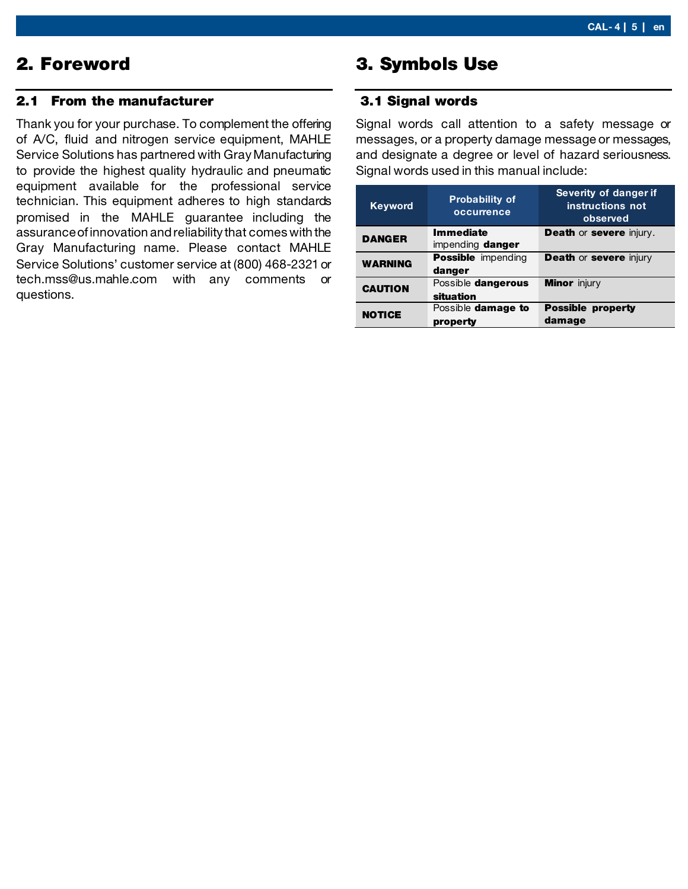## <span id="page-4-0"></span>2. Foreword

#### <span id="page-4-1"></span>2.1 From the manufacturer

Thank you for your purchase. To complement the offering of A/C, fluid and nitrogen service equipment, MAHLE Service Solutions has partnered with Gray Manufacturing to provide the highest quality hydraulic and pneumatic equipment available for the professional service technician. This equipment adheres to high standards promised in the MAHLE guarantee including the assurance of innovation and reliability that comes with the Gray Manufacturing name. Please contact MAHLE Service Solutions' customer service at (800) 468-2321 or tech.mss@us.mahle.com with any comments or questions.

## <span id="page-4-2"></span>3. Symbols Use

#### <span id="page-4-3"></span>3.1 Signal words

Signal words call attention to a safety message or messages, or a property damage message or messages, and designate a degree or level of hazard seriousness. Signal words used in this manual include:

| <b>Keyword</b> | <b>Probability of</b><br>occurrence | Severity of danger if<br>instructions not<br>observed |
|----------------|-------------------------------------|-------------------------------------------------------|
| <b>DANGER</b>  | <b>Immediate</b>                    | <b>Death or severe injury.</b>                        |
|                | impending danger                    |                                                       |
| <b>WARNING</b> | <b>Possible</b> impending           | <b>Death or severe injury</b>                         |
|                | danger                              |                                                       |
| <b>CAUTION</b> | Possible dangerous                  | <b>Minor</b> injury                                   |
|                | situation                           |                                                       |
|                | Possible damage to                  | <b>Possible property</b>                              |
| <b>NOTICE</b>  | property                            | damage                                                |
|                |                                     |                                                       |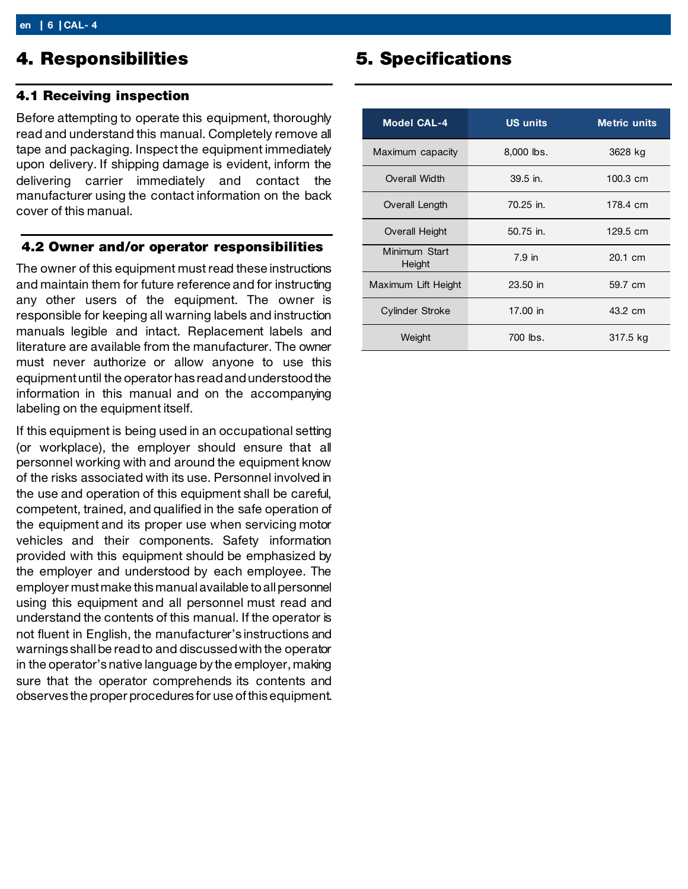### <span id="page-5-0"></span>4. Responsibilities

#### <span id="page-5-1"></span>4.1 Receiving inspection

Before attempting to operate this equipment, thoroughly read and understand this manual. Completely remove all tape and packaging. Inspect the equipment immediately upon delivery. If shipping damage is evident, inform the delivering carrier immediately and contact the manufacturer using the contact information on the back cover of this manual.

#### <span id="page-5-2"></span>4.2 Owner and/or operator responsibilities

The owner of this equipment must read these instructions and maintain them for future reference and for instructing any other users of the equipment. The owner is responsible for keeping all warning labels and instruction manuals legible and intact. Replacement labels and literature are available from the manufacturer. The owner must never authorize or allow anyone to use this equipment until the operator has read and understood the information in this manual and on the accompanying labeling on the equipment itself.

If this equipment is being used in an occupational setting (or workplace), the employer should ensure that all personnel working with and around the equipment know of the risks associated with its use. Personnel involved in the use and operation of this equipment shall be careful, competent, trained, and qualified in the safe operation of the equipment and its proper use when servicing motor vehicles and their components. Safety information provided with this equipment should be emphasized by the employer and understood by each employee. The employer must make this manual available to all personnel using this equipment and all personnel must read and understand the contents of this manual. If the operator is not fluent in English, the manufacturer's instructions and warnings shall be read to and discussed with the operator in the operator's native language by the employer, making sure that the operator comprehends its contents and observes the proper procedures for use of this equipment.

## <span id="page-5-3"></span>5. Specifications

| <b>Model CAL-4</b>      | <b>US units</b> | <b>Metric units</b> |
|-------------------------|-----------------|---------------------|
| Maximum capacity        | $8,000$ lbs.    | 3628 kg             |
| Overall Width           | $39.5$ in.      | $100.3$ cm          |
| Overall Length          | $70.25$ in.     | 178.4 cm            |
| <b>Overall Height</b>   | 50.75 in.       | 129.5 cm            |
| Minimum Start<br>Height | $7.9$ in        | 20.1 cm             |
| Maximum Lift Height     | 23.50 in        | 59.7 cm             |
| Cylinder Stroke         | 17.00 in        | 43.2 cm             |
| Weight                  | 700 lbs.        | 317.5 kg            |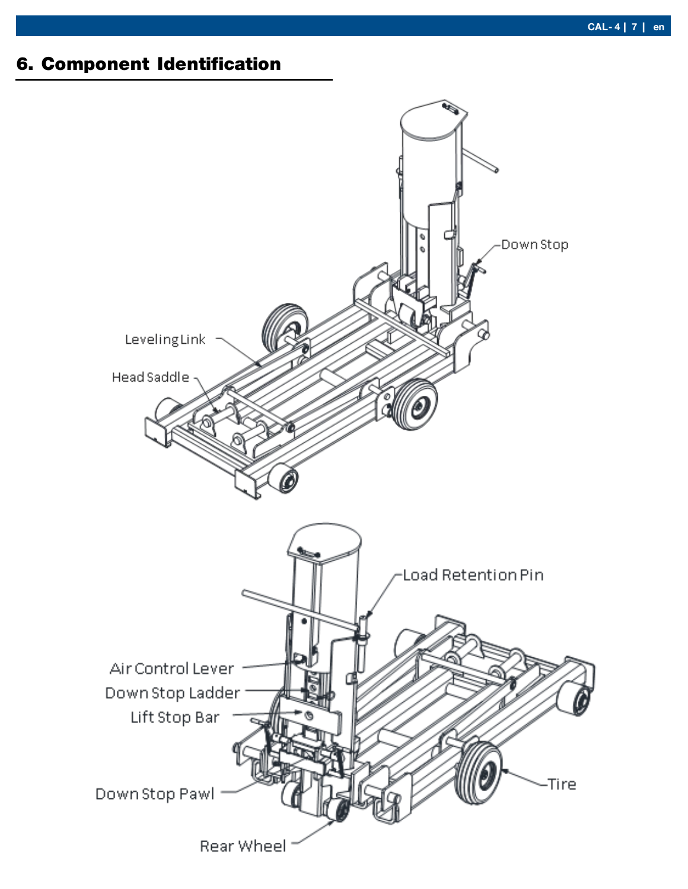## <span id="page-6-0"></span>6. Component Identification

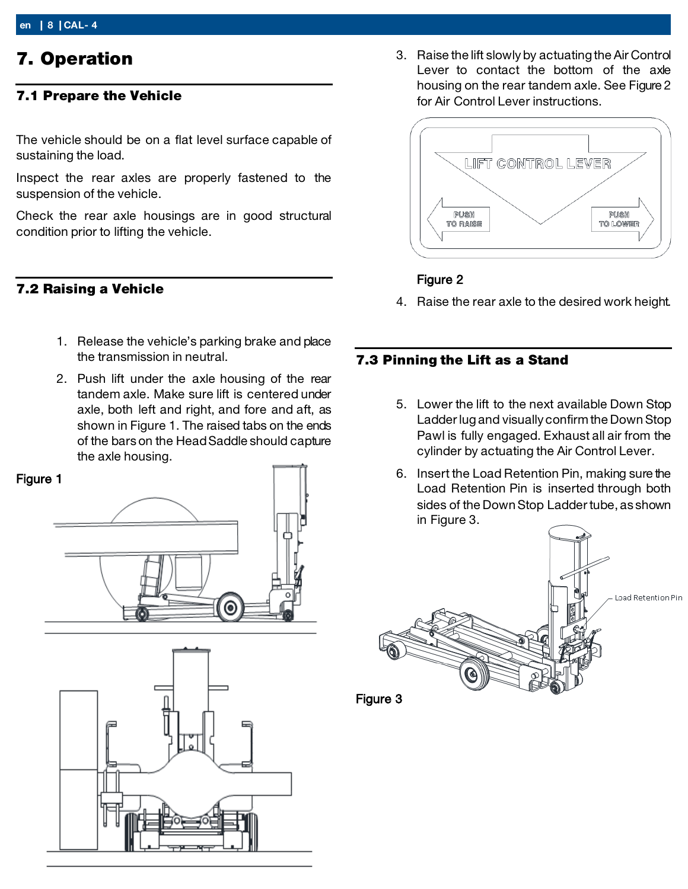## <span id="page-7-0"></span>7. Operation

#### 7.1 Prepare the Vehicle

<span id="page-7-1"></span>The vehicle should be on a flat level surface capable of sustaining the load.

Inspect the rear axles are properly fastened to the suspension of the vehicle.

Check the rear axle housings are in good structural condition prior to lifting the vehicle.

#### 7.2 Raising a Vehicle

- 1. Release the vehicle's parking brake and place the transmission in neutral.
- 2. Push lift under the axle housing of the rear tandem axle. Make sure lift is centered under axle, both left and right, and fore and aft, as shown in Figure 1. The raised tabs on the ends of the bars on the Head Saddle should capture the axle housing.





3. Raise the lift slowly by actuating the Air Control Lever to contact the bottom of the axle housing on the rear tandem axle. See Figure 2 for Air Control Lever instructions.



#### Figure 2

4. Raise the rear axle to the desired work height.

#### 7.3 Pinning the Lift as a Stand

- 5. Lower the lift to the next available Down Stop Ladder lug and visually confirm the Down Stop Pawl is fully engaged. Exhaust all air from the cylinder by actuating the Air Control Lever.
- 6. Insert the Load Retention Pin, making sure the Load Retention Pin is inserted through both sides of the Down Stop Ladder tube, as shown in Figure 3.



Figure 3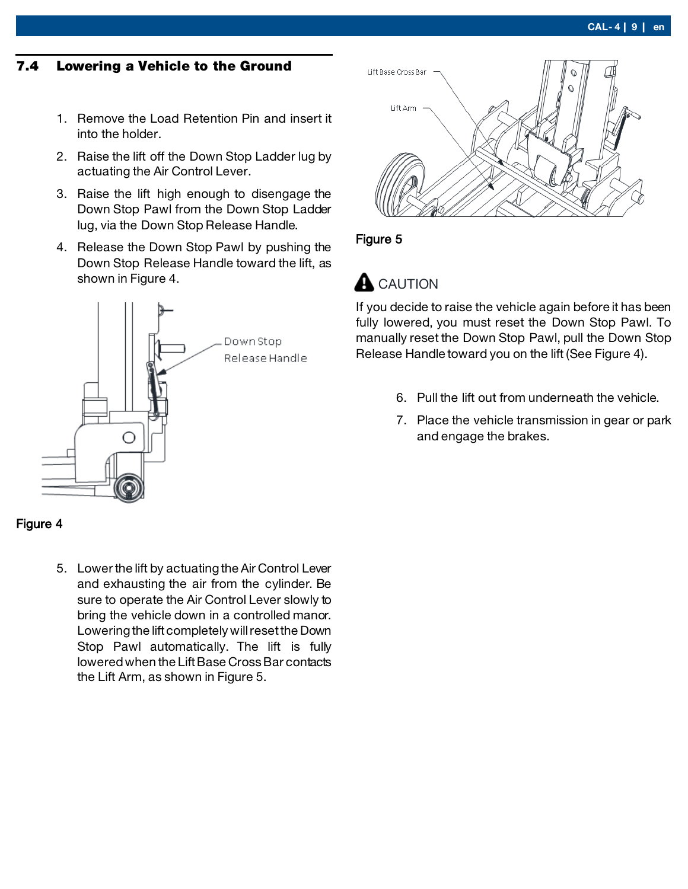#### 7.4 Lowering a Vehicle to the Ground

- 1. Remove the Load Retention Pin and insert it into the holder.
- 2. Raise the lift off the Down Stop Ladder lug by actuating the Air Control Lever.
- 3. Raise the lift high enough to disengage the Down Stop Pawl from the Down Stop Ladder lug, via the Down Stop Release Handle.
- 4. Release the Down Stop Pawl by pushing the Down Stop Release Handle toward the lift, as shown in Figure 4.





5. Lower the lift by actuating the Air Control Lever and exhausting the air from the cylinder. Be sure to operate the Air Control Lever slowly to bring the vehicle down in a controlled manor. Lowering the lift completely will reset the Down Stop Pawl automatically. The lift is fully lowered when the Lift Base Cross Bar contacts the Lift Arm, as shown in Figure 5.



#### Figure 5

## **A** CAUTION

If you decide to raise the vehicle again before it has been fully lowered, you must reset the Down Stop Pawl. To manually reset the Down Stop Pawl, pull the Down Stop Release Handle toward you on the lift (See Figure 4).

- 6. Pull the lift out from underneath the vehicle.
- 7. Place the vehicle transmission in gear or park and engage the brakes.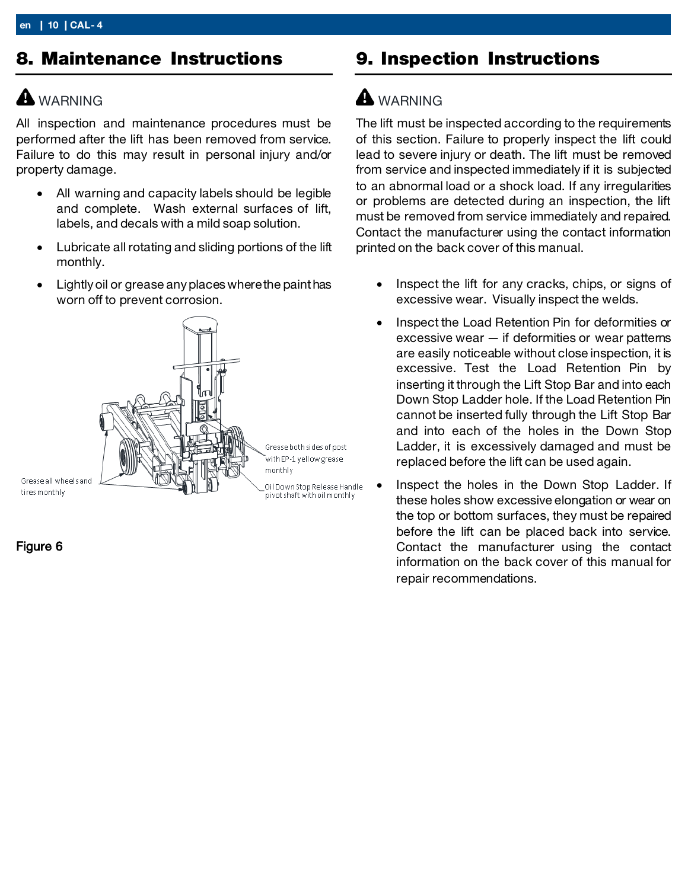## <span id="page-9-0"></span>8. Maintenance Instructions

## **A** WARNING

All inspection and maintenance procedures must be performed after the lift has been removed from service. Failure to do this may result in personal injury and/or property damage.

- All warning and capacity labels should be legible and complete. Wash external surfaces of lift, labels, and decals with a mild soap solution.
- Lubricate all rotating and sliding portions of the lift monthly.
- Lightly oil or grease any places where the paint has worn off to prevent corrosion.



Figure 6

## 9. Inspection Instructions

## **A** WARNING

The lift must be inspected according to the requirements of this section. Failure to properly inspect the lift could lead to severe injury or death. The lift must be removed from service and inspected immediately if it is subjected to an abnormal load or a shock load. If any irregularities or problems are detected during an inspection, the lift must be removed from service immediately and repaired. Contact the manufacturer using the contact information printed on the back cover of this manual.

- Inspect the lift for any cracks, chips, or signs of excessive wear. Visually inspect the welds.
- Inspect the Load Retention Pin for deformities or excessive wear — if deformities or wear patterns are easily noticeable without close inspection, it is excessive. Test the Load Retention Pin by inserting it through the Lift Stop Bar and into each Down Stop Ladder hole. If the Load Retention Pin cannot be inserted fully through the Lift Stop Bar and into each of the holes in the Down Stop Ladder, it is excessively damaged and must be replaced before the lift can be used again.
- Inspect the holes in the Down Stop Ladder. If these holes show excessive elongation or wear on the top or bottom surfaces, they must be repaired before the lift can be placed back into service. Contact the manufacturer using the contact information on the back cover of this manual for repair recommendations.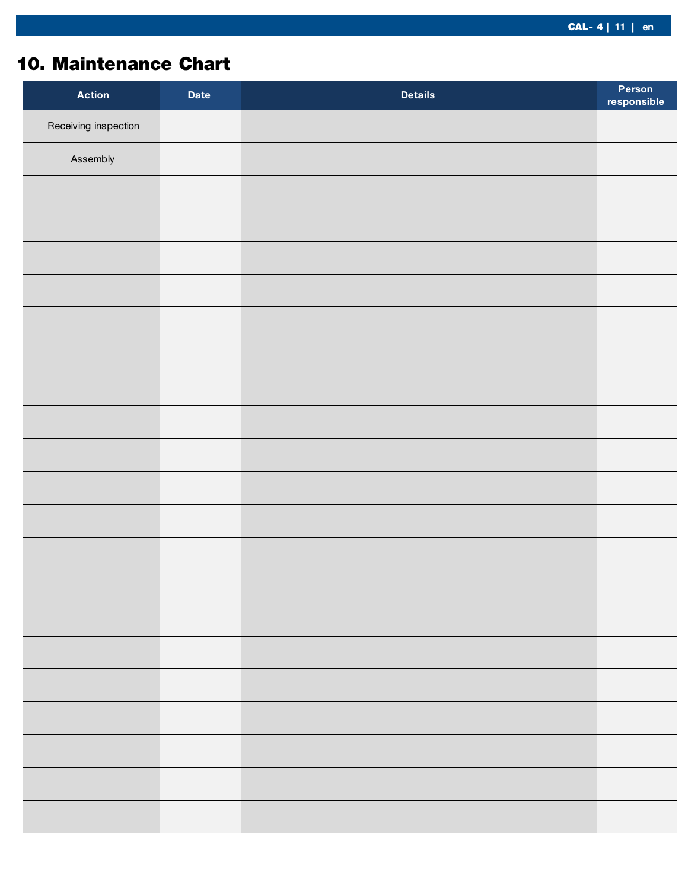## <span id="page-10-0"></span>10. Maintenance Chart

| <b>Action</b>        | Date | <b>Details</b> | Person<br>responsible |
|----------------------|------|----------------|-----------------------|
| Receiving inspection |      |                |                       |
| Assembly             |      |                |                       |
|                      |      |                |                       |
|                      |      |                |                       |
|                      |      |                |                       |
|                      |      |                |                       |
|                      |      |                |                       |
|                      |      |                |                       |
|                      |      |                |                       |
|                      |      |                |                       |
|                      |      |                |                       |
|                      |      |                |                       |
|                      |      |                |                       |
|                      |      |                |                       |
|                      |      |                |                       |
|                      |      |                |                       |
|                      |      |                |                       |
|                      |      |                |                       |
|                      |      |                |                       |
|                      |      |                |                       |
|                      |      |                |                       |
|                      |      |                |                       |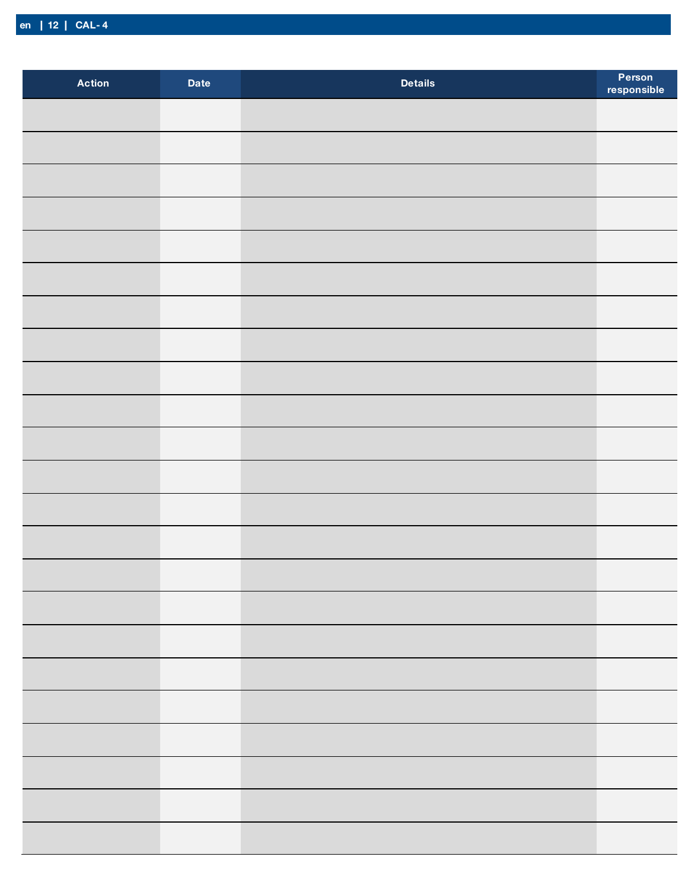| <b>Action</b> | <b>Date</b> | <b>Details</b> | Person<br>responsible |
|---------------|-------------|----------------|-----------------------|
|               |             |                |                       |
|               |             |                |                       |
|               |             |                |                       |
|               |             |                |                       |
|               |             |                |                       |
|               |             |                |                       |
|               |             |                |                       |
|               |             |                |                       |
|               |             |                |                       |
|               |             |                |                       |
|               |             |                |                       |
|               |             |                |                       |
|               |             |                |                       |
|               |             |                |                       |
|               |             |                |                       |
|               |             |                |                       |
|               |             |                |                       |
|               |             |                |                       |
|               |             |                |                       |
|               |             |                |                       |
|               |             |                |                       |
|               |             |                |                       |
|               |             |                |                       |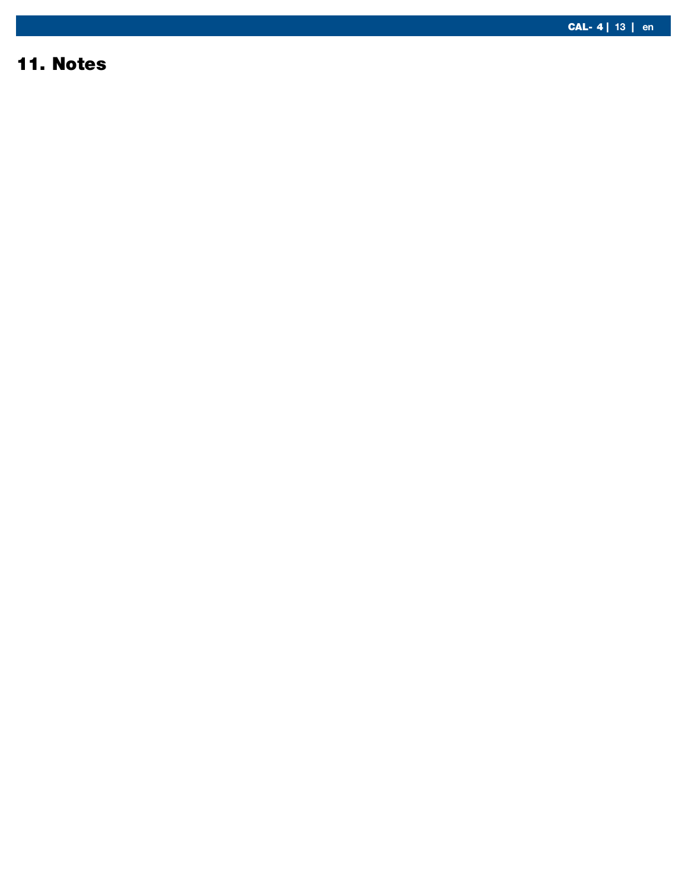#### <span id="page-12-0"></span>1 1. Notes